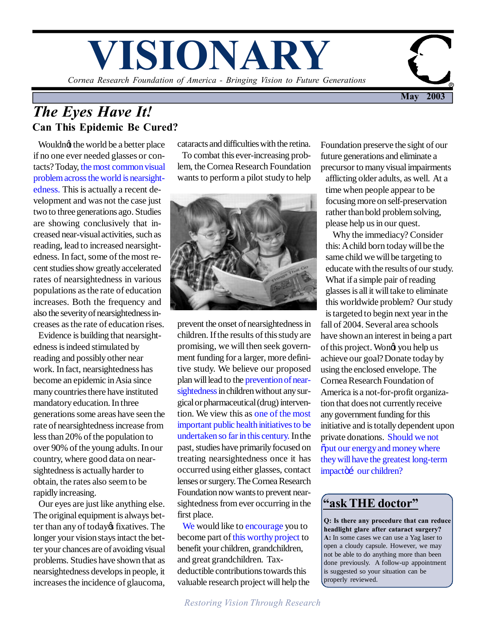# *Cornea Research Foundation of America - Bringing Vision to Future Generations* **VISIONARY**

**May 2003**

# *The Eyes Have It!* **Can This Epidemic Be Cured?**

Wouldng the world be a better place if no one ever needed glasses or contacts? Today, the most common visual problem across the world is nearsightedness. This is actually a recent development and was not the case just two to three generations ago. Studies are showing conclusively that increased near-visual activities, such as reading, lead to increased nearsightedness. In fact, some of the most recent studies show greatly accelerated rates of nearsightedness in various populations as the rate of education increases. Both the frequency and also the severity of nearsightedness increases as the rate of education rises.

 Evidence is building that nearsightedness is indeed stimulated by reading and possibly other near work. In fact, nearsightedness has become an epidemic in Asia since many countries there have instituted mandatory education. In three generations some areas have seen the rate of nearsightedness increase from less than 20% of the population to over 90% of the young adults. In our country, where good data on nearsightedness is actually harder to obtain, the rates also seem to be rapidly increasing.

 Our eyes are just like anything else. The original equipment is always better than any of today of fixatives. The longer your vision stays intact the better your chances are of avoiding visual problems. Studies have shown that as nearsightedness develops in people, it increases the incidence of glaucoma,

cataracts and difficulties with the retina. To combat this ever-increasing problem, the Cornea Research Foundation wants to perform a pilot study to help



prevent the onset of nearsightedness in children. If the results of this study are promising, we will then seek government funding for a larger, more definitive study. We believe our proposed plan will lead to the prevention of nearsightedness in children without any surgical or pharmaceutical (drug) intervention. We view this as one of the most important public health initiatives to be undertaken so far in this century. In the past, studies have primarily focused on treating nearsightedness once it has occurred using either glasses, contact lenses or surgery. The Cornea Research Foundation now wants to prevent nearsightedness from ever occurring in the first place.

We would like to encourage you to become part of this worthy project to benefit your children, grandchildren, and great grandchildren. Taxdeductible contributions towards this valuable research project will help the

*Restoring Vision Through Research*

Foundation preserve the sight of our future generations and eliminate a precursor to many visual impairments

afflicting older adults, as well. At a time when people appear to be focusing more on self-preservation rather than bold problem solving, please help us in our quest.

 Why the immediacy? Consider this: A child born today will be the same child we will be targeting to educate with the results of our study. What if a simple pair of reading glasses is all it will take to eliminate this worldwide problem? Our study

is targeted to begin next year in the fall of 2004. Several area schools have shown an interest in being a part of this project. Wong you help us achieve our goal? Donate today by using the enclosed envelope. The Cornea Research Foundation of America is a not-for-profit organization that does not currently receive any government funding for this initiative and is totally dependent upon private donations. Should we not  $\ddot{\text{o}}$  put our energy and money where they will have the greatest long-term impactöí our children?

## **"ask THE doctor"**

**Q: Is there any procedure that can reduce headlight glare after cataract surgery? A:** In some cases we can use a Yag laser to open a cloudy capsule. However, we may not be able to do anything more than been done previously. A follow-up appointment is suggested so your situation can be properly reviewed.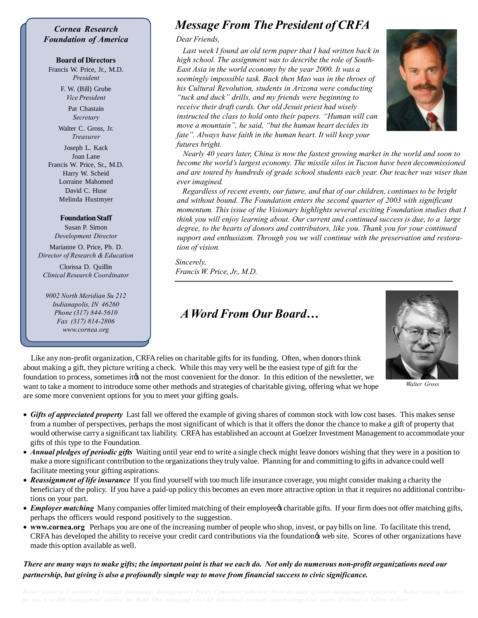### *Cornea Research Foundation of America*

#### **Board of Directors**

Francis W. Price, Jr., M.D. *President*

> F. W. (Bill) Grube *Vice President*

> > Pat Chastain *Secretary*

Walter C. Gross, Jr. *Treasurer*

Joseph L. Kack Joan Lane Francis W. Price, Sr., M.D. Harry W. Scheid Lorraine Mahomed David C. Huse Melinda Hustmyer

## **Foundation Staff**

Susan P. Simon *Development Director*

Marianne O. Price, Ph. D. *Director of Research & Education*

Clorissa D. Quillin *Clinical Research Coordinator*

*9002 North Meridian Su 212 Indianapolis, IN 46260 Phone (317) 844-5610 Fax (317) 814-2806 www.cornea.org*

# *Message From The President of CRFA*

#### *Dear Friends,*

 *Last week I found an old term paper that I had written back in high school. The assignment was to describe the role of South-East Asia in the world economy by the year 2000. It was a seemingly impossible task. Back then Mao was in the throes of his Cultural Revolution, students in Arizona were conducting "tuck and duck" drills, and my friends were beginning to receive their draft cards. Our old Jesuit priest had wisely instructed the class to hold onto their papers. "Human will can move a mountain", he said, "but the human heart decides its fate". Always have faith in the human heart. It will keep your futures bright.*



 *Nearly 40 years later, China is now the fastest growing market in the world and soon to become the world's largest economy. The missile silos in Tucson have been decommissioned and are toured by hundreds of grade school students each year. Our teacher was wiser than ever imagined.*

 *Regardless of recent events, our future, and that of our children, continues to be bright and without bound. The Foundation enters the second quarter of 2003 with significant momentum. This issue of the Visionary highlights several exciting Foundation studies that I think you will enjoy learning about. Our current and continued success is due, to a large degree, to the hearts of donors and contributors, like you. Thank you for your continued support and enthusiasm. Through you we will continue with the preservation and restoration of vision.*

*Sincerely, Francis W. Price, Jr., M.D.*

## *A Word From Our Board…*



*Walter Gross*

 Like any non-profit organization, CRFA relies on charitable gifts for its funding. Often, when donors think about making a gift, they picture writing a check. While this may very well be the easiest type of gift for the foundation to process, sometimes its not the most convenient for the donor. In this edition of the newsletter, we want to take a moment to introduce some other methods and strategies of charitable giving, offering what we hope are some more convenient options for you to meet your gifting goals.

- · *Gifts of appreciated property* Last fall we offered the example of giving shares of common stock with low cost bases. This makes sense from a number of perspectives, perhaps the most significant of which is that it offers the donor the chance to make a gift of property that would otherwise carry a significant tax liability. CRFA has established an account at Goelzer Investment Management to accommodate your gifts of this type to the Foundation*.*
- · *Annual pledges of periodic gifts* Waiting until year end to write a single check might leave donors wishing that they were in a position to make a more significant contribution to the organizations they truly value. Planning for and committing to gifts in advance could well facilitate meeting your gifting aspirations.
- · *Reassignment of life insurance* If you find yourself with too much life insurance coverage, you might consider making a charity the beneficiary of the policy. If you have a paid-up policy this becomes an even more attractive option in that it requires no additional contributions on your part.
- *Employer matching* Many companies offer limited matching of their employee charitable gifts. If your firm does not offer matching gifts, perhaps the officers would respond positively to the suggestion.
- · **www.cornea.org** Perhaps you are one of the increasing number of people who shop, invest, or pay bills on line. To facilitate this trend, CRFA has developed the ability to receive your credit card contributions via the foundation's web site. Scores of other organizations have made this option available as well.

## *There are many ways to make gifts; the important point is that we each do. Not only do numerous non-profit organizations need our partnership, but giving is also a profoundly simple way to move from financial success to civic significance.*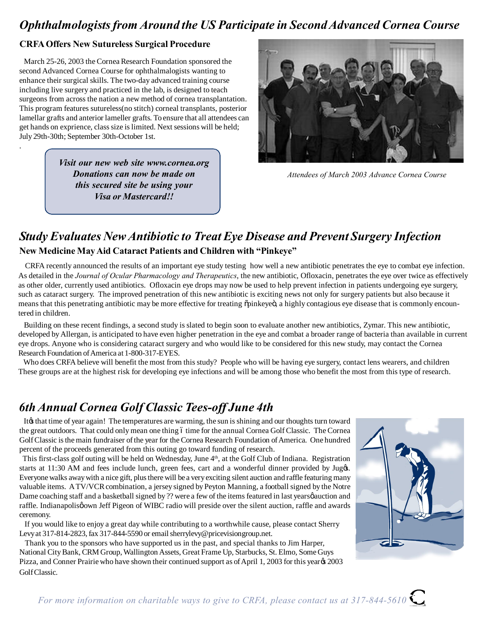# *Ophthalmologists from Around the US Participate in Second Advanced Cornea Course*

## **CRFA Offers New Sutureless Surgical Procedure**

.

 March 25-26, 2003 the Cornea Research Foundation sponsored the second Advanced Cornea Course for ophthalmalogists wanting to enhance their surgical skills. The two-day advanced training course including live surgery and practiced in the lab, is designed to teach surgeons from across the nation a new method of cornea transplantation. This program features sutureless(no stitch) corneal transplants, posterior lamellar grafts and anterior lameller grafts. To ensure that all attendees can get hands on exprience, class size is limited. Next sessions will be held; July 29th-30th; September 30th-October 1st.

> *Visit our new web site www.cornea.org Donations can now be made on this secured site be using your Visa or Mastercard!!*



*Attendees of March 2003 Advance Cornea Course*

# *Study Evaluates New Antibiotic to Treat Eye Disease and Prevent Surgery Infection*  **New Medicine May Aid Cataract Patients and Children with "Pinkeye"**

 CRFA recently announced the results of an important eye study testing how well a new antibiotic penetrates the eye to combat eye infection. As detailed in the *Journal of Ocular Pharmacology and Therapeutics*, the new antibiotic, Ofloxacin, penetrates the eye over twice as effectively as other older, currently used antibiotics. Ofloxacin eye drops may now be used to help prevent infection in patients undergoing eye surgery, such as cataract surgery. The improved penetration of this new antibiotic is exciting news not only for surgery patients but also because it means that this penetrating antibiotic may be more effective for treating  $\ddot{\text{op}}$  inkeyeö, a highly contagious eye disease that is commonly encountered in children.

 Building on these recent findings, a second study is slated to begin soon to evaluate another new antibiotics, Zymar. This new antibiotic, developed by Allergan, is anticipated to have even higher penetration in the eye and combat a broader range of bacteria than available in current eye drops. Anyone who is considering cataract surgery and who would like to be considered for this new study, may contact the Cornea Research Foundation of America at 1-800-317-EYES.

Who does CRFA believe will benefit the most from this study? People who will be having eye surgery, contact lens wearers, and children These groups are at the highest risk for developing eye infections and will be among those who benefit the most from this type of research.

# *6th Annual Cornea Golf Classic Tees-off June 4th*

It is that time of year again! The temperatures are warming, the sun is shining and our thoughts turn toward the great outdoors. That could only mean one thing 6 time for the annual Cornea Golf Classic. The Cornea Golf Classic is the main fundraiser of the year for the Cornea Research Foundation of America. One hundred percent of the proceeds generated from this outing go toward funding of research.

This first-class golf outing will be held on Wednesday, June 4<sup>th</sup>, at the Golf Club of Indiana. Registration starts at 11:30 AM and fees include lunch, green fees, cart and a wonderful dinner provided by Juggs. Everyone walks away with a nice gift, plus there will be a very exciting silent auction and raffle featuring many valuable items. A TV/VCR combination, a jersey signed by Peyton Manning, a football signed by the Notre Dame coaching staff and a basketball signed by ?? were a few of the items featured in last years pauction and raffle. Indianapolisø own Jeff Pigeon of WIBC radio will preside over the silent auction, raffle and awards ceremony.

 If you would like to enjoy a great day while contributing to a worthwhile cause, please contact Sherry Levy at 317-814-2823, fax 317-844-5590 or email sherrylevy@pricevisiongroup.net.

 Thank you to the sponsors who have supported us in the past, and special thanks to Jim Harper, National City Bank, CRM Group, Wallington Assets, Great Frame Up, Starbucks, St. Elmo, Some Guys Pizza, and Conner Prairie who have shown their continued support as of April 1, 2003 for this year  $\alpha$  2003 Golf Classic.